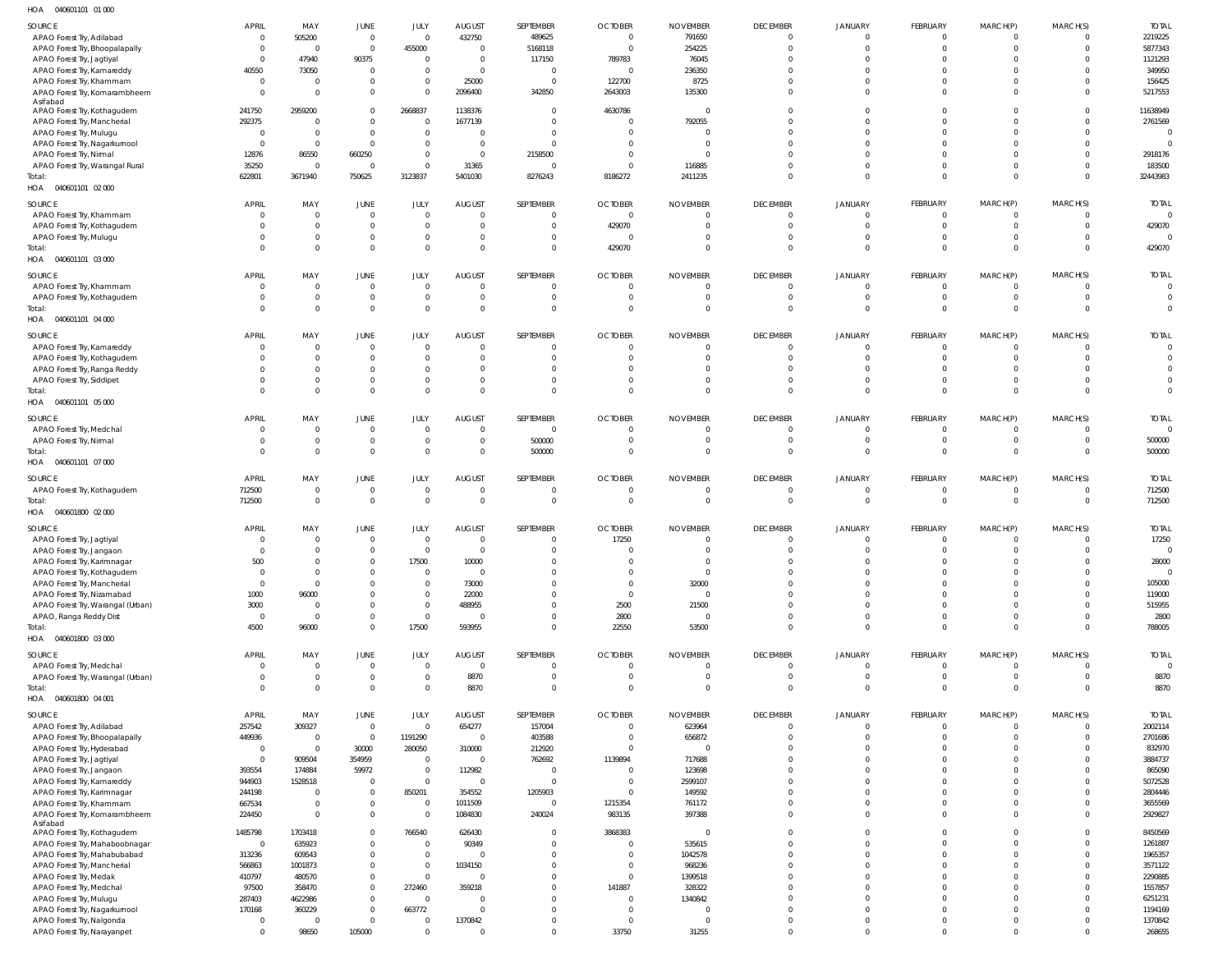040601101 01 000 HOA

| SOURCE<br>APAO Forest Try, Adilabad<br>APAO Forest Try, Bhoopalapally                     | <b>APRIL</b><br>$\Omega$<br>$\Omega$ | MAY<br>505200<br>$\overline{0}$                    | <b>JUNE</b><br>$\overline{0}$<br>$\overline{0}$ | JULY<br>$\overline{0}$<br>455000                | <b>AUGUST</b><br>432750<br>$\overline{0}$         | SEPTEMBER<br>489625<br>5168118                | <b>OCTOBER</b><br>$\overline{0}$<br>$\overline{0}$ | <b>NOVEMBER</b><br>791650<br>254225                 | <b>DECEMBER</b><br>$\overline{0}$<br>$\Omega$       | <b>JANUARY</b><br>$\overline{0}$<br>$\Omega$       | FEBRUARY<br>$\overline{0}$<br>$\overline{0}$ | MARCH(P)<br>$\overline{0}$<br>$\overline{0}$ | MARCH(S)<br>$\Omega$             | <b>TOTAL</b><br>2219225<br>5877343  |
|-------------------------------------------------------------------------------------------|--------------------------------------|----------------------------------------------------|-------------------------------------------------|-------------------------------------------------|---------------------------------------------------|-----------------------------------------------|----------------------------------------------------|-----------------------------------------------------|-----------------------------------------------------|----------------------------------------------------|----------------------------------------------|----------------------------------------------|----------------------------------|-------------------------------------|
| APAO Forest Try, Jagtiyal<br>APAO Forest Try, Kamareddy<br>APAO Forest Try, Khammam       | $\Omega$<br>40550<br>$\Omega$        | 47940<br>73050<br>$\overline{0}$                   | 90375<br>$\overline{0}$<br>$\overline{0}$       | $\overline{0}$<br>$\mathbf 0$<br>$\mathbf 0$    | $\overline{0}$<br>$\overline{0}$<br>25000         | 117150<br>$\overline{0}$<br>$\overline{0}$    | 789783<br>$\overline{0}$<br>122700                 | 76045<br>236350<br>8725                             | $\Omega$<br>$\Omega$                                | $\Omega$<br>$\Omega$<br>$\Omega$                   | $\Omega$<br>$\Omega$<br>$\Omega$             | $\Omega$<br>$\Omega$<br>$\Omega$             |                                  | 1121293<br>349950<br>156425         |
| APAO Forest Try, Komarambheem<br>Asifabad<br>APAO Forest Try, Kothagudem                  | $\Omega$<br>241750                   | $\Omega$<br>2959200                                | $\overline{0}$<br>$\overline{0}$                | $\mathbf 0$<br>2668837                          | 2096400<br>1138376                                | 342850<br>0                                   | 2643003<br>4630786                                 | 135300<br>$\overline{0}$                            | $\Omega$                                            | $\Omega$<br>$\overline{0}$                         | $\Omega$<br>$\Omega$                         | $\Omega$<br>$\Omega$                         |                                  | 5217553<br>11638949                 |
| APAO Forest Try, Mancherial<br>APAO Forest Try, Mulugu<br>APAO Forest Try, Nagarkurnool   | 292375<br>- 0<br>$\Omega$            | $\overline{0}$<br>$\overline{0}$<br>$\overline{0}$ | $\mathbf 0$<br>$\overline{0}$<br>$\overline{0}$ | $\overline{0}$<br>$\overline{0}$<br>$\mathbf 0$ | 1677139<br>$\Omega$<br>$\Omega$                   | $\overline{0}$<br>0<br>$\Omega$               | $\overline{0}$<br>0<br>$\Omega$                    | 792055<br>$\overline{0}$<br>$\overline{0}$          | $\Omega$<br>$\Omega$                                | $\Omega$<br>$\Omega$<br>$\Omega$                   | $\Omega$<br>$\Omega$<br>$\Omega$             | $\Omega$<br>$\Omega$<br>$\Omega$             | $\Omega$                         | 2761569<br>$\sqrt{ }$<br>$\sqrt{ }$ |
| APAO Forest Try, Nirmal<br>APAO Forest Try, Warangal Rural<br>Total:                      | 12876<br>35250<br>622801             | 86550<br>$\Omega$<br>3671940                       | 660250<br>0<br>750625                           | $\mathbf 0$<br>$\mathbf 0$<br>3123837           | $\Omega$<br>31365<br>5401030                      | 2158500<br>$\overline{0}$<br>8276243          | 0<br>$\overline{0}$<br>8186272                     | - 0<br>116885<br>2411235                            | $\Omega$<br>$\Omega$                                | $\Omega$<br>$\Omega$<br>$\Omega$                   | $\Omega$<br>$\mathbf{0}$<br>$\Omega$         | $\Omega$<br>$\overline{0}$<br>$\mathbf 0$    | $\Omega$                         | 2918176<br>183500<br>32443983       |
| HOA  040601101  02  000                                                                   |                                      |                                                    |                                                 |                                                 |                                                   |                                               |                                                    |                                                     |                                                     |                                                    |                                              |                                              |                                  |                                     |
| SOURCE<br>APAO Forest Try, Khammam<br>APAO Forest Try, Kothagudem                         | APRIL                                | MAY<br>$\overline{0}$<br>$\overline{0}$            | <b>JUNE</b><br>$\overline{0}$<br>$\mathbf 0$    | JULY<br>$\overline{0}$<br>$\mathbf 0$           | <b>AUGUST</b><br>$\Omega$<br>$\overline{0}$       | SEPTEMBER<br>$\mathbf{0}$<br>$\mathbf{0}$     | <b>OCTOBER</b><br>$\mathbf{0}$<br>429070           | <b>NOVEMBER</b><br>0<br>$\mathbf{0}$                | <b>DECEMBER</b><br>$\Omega$<br>$\overline{0}$       | <b>JANUARY</b><br>$\Omega$<br>$\overline{0}$       | FEBRUARY<br>$\overline{0}$<br>$\overline{0}$ | MARCH(P)<br>$\overline{0}$<br>$\overline{0}$ | MARCH(S)<br>$\Omega$             | <b>TOTAL</b><br>429070              |
| APAO Forest Try, Mulugu<br>Total:<br>HOA  040601101  03  000                              |                                      | $\mathbf{0}$<br>$\Omega$                           | $\mathbf 0$<br>$\mathbf 0$                      | $\mathbf 0$<br>$\mathbf 0$                      | $\Omega$<br>$\overline{0}$                        | $\mathbf{0}$<br>$\mathbf{0}$                  | $\overline{0}$<br>429070                           | $\Omega$<br>$\mathbf{0}$                            | $\Omega$<br>$\overline{0}$                          | $\overline{0}$<br>$\overline{0}$                   | $\overline{0}$<br>$\overline{0}$             | - 0<br>$\overline{0}$                        | $\Omega$                         | 429070                              |
| SOURCE<br>APAO Forest Try, Khammam                                                        | APRIL<br>$\Omega$                    | MAY<br>$\overline{0}$                              | <b>JUNE</b><br>$\overline{0}$                   | JULY<br>$\overline{0}$                          | <b>AUGUST</b><br>$\Omega$                         | SEPTEMBER<br>$\overline{0}$                   | <b>OCTOBER</b><br>$\overline{0}$                   | <b>NOVEMBER</b><br>$\overline{0}$                   | <b>DECEMBER</b><br>$\overline{0}$                   | <b>JANUARY</b><br>$\overline{0}$                   | FEBRUARY<br>$\overline{0}$                   | MARCH(P)<br>$\overline{0}$                   | MARCH(S)                         | <b>TOTAL</b><br>$\Omega$            |
| APAO Forest Try, Kothagudem<br>Total:<br>HOA  040601101  04  000                          |                                      | $\overline{0}$<br>$\overline{0}$                   | $\mathbf 0$<br>$\overline{0}$                   | $\mathbf 0$<br>$\mathbf 0$                      | $\mathbf{0}$<br>$\Omega$                          | $\overline{0}$<br>$\overline{0}$              | $\overline{0}$<br>$\overline{0}$                   | $\overline{0}$<br>$\overline{0}$                    | $\overline{0}$<br>$\overline{0}$                    | $\overline{0}$<br>$\overline{0}$                   | $\overline{0}$<br>$\Omega$                   | $\overline{0}$<br>$\overline{0}$             | $\mathbf 0$<br>$\Omega$          | $\overline{0}$<br>$\overline{0}$    |
| SOURCE<br>APAO Forest Try, Kamareddy                                                      | <b>APRIL</b>                         | MAY<br>$\overline{0}$                              | <b>JUNE</b><br>$\mathbf 0$                      | JULY<br>$\overline{0}$                          | <b>AUGUST</b><br>$\Omega$                         | SEPTEMBER<br>0                                | <b>OCTOBER</b><br>$\mathbf{0}$                     | <b>NOVEMBER</b><br>$\mathbf{0}$                     | <b>DECEMBER</b><br>$\Omega$                         | <b>JANUARY</b><br>$\Omega$                         | FEBRUARY<br>$\Omega$                         | MARCH(P)<br>$\overline{0}$                   | MARCH(S)                         | <b>TOTAL</b><br>$\circ$             |
| APAO Forest Try, Kothagudem<br>APAO Forest Try, Ranga Reddy                               |                                      | $\overline{0}$<br>$\Omega$                         | $\mathbf 0$<br>$\mathbf 0$                      | $\mathbf 0$<br>$\mathbf 0$                      | $\Omega$<br>$\Omega$                              | $\overline{0}$<br>0                           | $\mathbf{0}$<br>$\Omega$                           | $\mathbf{0}$<br>$\Omega$                            | $\overline{0}$<br>$\Omega$                          | $\overline{0}$<br>$\Omega$                         | $\Omega$<br>$\Omega$                         | $\overline{0}$<br>$\Omega$                   | $\Omega$                         | $\overline{0}$                      |
| APAO Forest Try, Siddipet<br>Total:<br>HOA  040601101  05  000                            |                                      | $\Omega$<br>$\Omega$                               | $\mathbf 0$<br>$\mathbf 0$                      | $\mathbf 0$<br>$\mathbf 0$                      | $\Omega$<br>$\Omega$                              | 0<br>$\mathbf 0$                              | 0<br>$\Omega$                                      | $\Omega$<br>$\Omega$                                | $\overline{0}$<br>$\Omega$                          | $\overline{0}$<br>$\Omega$                         | $\Omega$<br>$\Omega$                         | $\Omega$<br>$\Omega$                         | $\Omega$                         | $\overline{0}$<br>$\overline{0}$    |
| SOURCE<br>APAO Forest Try, Medchal                                                        | <b>APRIL</b><br>$\Omega$             | MAY<br>$\overline{0}$                              | <b>JUNE</b><br>$\overline{0}$                   | JULY<br>$\overline{0}$                          | <b>AUGUST</b><br>$\overline{0}$                   | SEPTEMBER<br>$\overline{0}$                   | <b>OCTOBER</b><br>$\overline{0}$                   | <b>NOVEMBER</b><br>$\overline{0}$                   | <b>DECEMBER</b><br>$\Omega$                         | <b>JANUARY</b><br>$\Omega$                         | FEBRUARY<br>$\overline{0}$                   | MARCH(P)<br>- 0                              | MARCH(S)                         | <b>TOTAL</b><br>$\Omega$            |
| APAO Forest Try, Nirmal<br>Total:<br>HOA  040601101  07  000                              | $\Omega$                             | $\overline{0}$<br>$\Omega$                         | $\overline{0}$<br>$\mathbf 0$                   | $\mathbf 0$<br>$\mathbf 0$                      | $\overline{0}$<br>$\overline{0}$                  | 500000<br>500000                              | $\overline{0}$<br>$\Omega$                         | $\overline{0}$<br>$\mathbf 0$                       | $\overline{0}$<br>$\overline{0}$                    | $\overline{0}$<br>$\overline{0}$                   | $\overline{0}$<br>$\Omega$                   | $\circ$<br>$\overline{0}$                    | $\Omega$<br>$\Omega$             | 500000<br>500000                    |
| SOURCE<br>APAO Forest Try, Kothagudem<br>Total:                                           | <b>APRIL</b><br>712500<br>712500     | MAY<br>$\overline{0}$<br>$\mathbf{0}$              | JUNE<br>$\overline{0}$<br>$\overline{0}$        | JULY<br>$\mathbf 0$<br>$\mathbf{0}$             | <b>AUGUST</b><br>$\overline{0}$<br>$\overline{0}$ | SEPTEMBER<br>$\overline{0}$<br>$\overline{0}$ | <b>OCTOBER</b><br>$\overline{0}$<br>$\overline{0}$ | <b>NOVEMBER</b><br>$\overline{0}$<br>$\overline{0}$ | <b>DECEMBER</b><br>$\overline{0}$<br>$\overline{0}$ | <b>JANUARY</b><br>$\overline{0}$<br>$\overline{0}$ | FEBRUARY<br>$\overline{0}$<br>$\overline{0}$ | MARCH(P)<br>$\overline{0}$<br>$\overline{0}$ | MARCH(S)<br>$\Omega$<br>$\Omega$ | <b>TOTAL</b><br>712500<br>712500    |
| HOA  040601800  02  000                                                                   |                                      |                                                    |                                                 |                                                 |                                                   |                                               |                                                    |                                                     |                                                     |                                                    |                                              |                                              |                                  |                                     |
| SOURCE<br>APAO Forest Try, Jagtiyal                                                       | <b>APRIL</b><br>$\Omega$             | MAY<br>$\overline{0}$                              | <b>JUNE</b><br>$\overline{0}$                   | JULY<br>$\overline{0}$                          | <b>AUGUST</b><br>$\Omega$                         | SEPTEMBER<br>0                                | <b>OCTOBER</b><br>17250                            | <b>NOVEMBER</b><br>0                                | <b>DECEMBER</b><br>$\overline{0}$                   | <b>JANUARY</b><br>$\Omega$                         | FEBRUARY<br>$\overline{0}$                   | MARCH(P)<br>- 0                              | MARCH(S)<br>$\Omega$             | <b>TOTAL</b><br>17250               |
| APAO Forest Try, Jangaon<br>APAO Forest Try, Karimnagar                                   | $\Omega$<br>500                      | $\mathbf{0}$<br>$\overline{0}$                     | $\mathbf{0}$<br>$\overline{0}$                  | $\mathbf 0$<br>17500                            | $\Omega$<br>10000                                 | $\Omega$<br>$\Omega$                          | $\Omega$<br>$\Omega$                               | $\Omega$<br>$\Omega$                                | $\Omega$<br>$\Omega$                                | $\Omega$<br>$\Omega$                               | $\Omega$<br>$\Omega$                         | $\Omega$<br>$\Omega$                         | $\Omega$<br>$\mathbf 0$          | $\Omega$<br>28000<br>$\overline{0}$ |
| APAO Forest Try, Kothagudem<br>APAO Forest Try, Mancherial                                | $\Omega$<br>$\Omega$                 | $\overline{0}$<br>$\overline{0}$                   | $\mathbf 0$<br>$\mathbf 0$                      | $\mathbf 0$<br>$\mathbf 0$                      | $\mathbf{0}$<br>73000                             | $\Omega$<br>$\mathbf{0}$                      | $\Omega$<br>$\overline{0}$                         | $\overline{0}$<br>32000                             | $\Omega$<br>$\mathbf{0}$                            | $\Omega$<br>$\overline{0}$                         | $\Omega$<br>$\mathbf{0}$                     | $\Omega$<br>$\overline{0}$                   | $\Omega$                         | 105000                              |
| APAO Forest Try, Nizamabad<br>APAO Forest Try, Warangal (Urban)                           | 1000<br>3000                         | 96000<br>$\overline{0}$                            | $\mathbf 0$<br>$\mathbf 0$                      | $\mathbf 0$<br>$\overline{0}$                   | 22000<br>488955                                   | $\Omega$<br>$\Omega$                          | $\overline{0}$<br>2500                             | $\overline{0}$<br>21500                             | $\Omega$<br>$\Omega$                                | $\Omega$<br>$\Omega$                               | $\Omega$<br>$\Omega$                         | $\Omega$<br>$\Omega$                         | $\Omega$<br>$\Omega$             | 119000<br>515955                    |
| APAO, Ranga Reddy Dist<br>Total:<br>HOA  040601800  03  000                               | $\Omega$<br>4500                     | $\overline{0}$<br>96000                            | $\mathbf 0$<br>$\mathbf 0$                      | $\mathbf 0$<br>17500                            | $\Omega$<br>593955                                | $\mathbf{0}$<br>$\mathbf 0$                   | 2800<br>22550                                      | $\overline{0}$<br>53500                             | $\mathbf{0}$<br>$\Omega$                            | $\overline{0}$<br>$\overline{0}$                   | $\overline{0}$<br>$\Omega$                   | $\overline{0}$<br>$\overline{0}$             | $\Omega$<br>$\Omega$             | 2800<br>788005                      |
| SOURCE<br>APAO Forest Try, Medchal                                                        | <b>APRIL</b><br>$\Omega$             | MAY<br>$\overline{0}$                              | JUNE<br>$\overline{0}$                          | <b>JULY</b><br>$\overline{0}$                   | <b>AUGUST</b><br>$\overline{0}$                   | SEPTEMBER<br>$\overline{0}$                   | <b>OCTOBER</b><br>$\overline{0}$                   | <b>NOVEMBER</b><br>$\overline{0}$                   | <b>DECEMBER</b><br>$\overline{0}$                   | <b>JANUARY</b><br>$\overline{0}$                   | FEBRUARY<br>$\overline{0}$                   | MARCH(P)<br>$\overline{0}$                   | MARCH(S)<br>$\Omega$             | <b>TOTAL</b><br>$\overline{0}$      |
| APAO Forest Try, Warangal (Urban)<br>Total:<br>HOA  040601800  04  001                    |                                      | $\overline{0}$<br>$\Omega$                         | $\mathbf 0$<br>$\mathbf 0$                      | $\mathbf 0$<br>$\mathbf{0}$                     | 8870<br>8870                                      | $\overline{0}$<br>$\mathbf{0}$                | $\mathbf{0}$<br>$\mathbf{0}$                       | $\mathbf{0}$<br>$\mathbf{0}$                        | $\overline{0}$<br>$\overline{0}$                    | $\overline{0}$<br>$\overline{0}$                   | $\overline{0}$<br>$\overline{0}$             | $\overline{0}$<br>$\overline{0}$             | $\Omega$<br>$\Omega$             | 8870<br>8870                        |
| SOURCE                                                                                    | <b>APRIL</b>                         | MAY                                                | JUNE                                            | JULY                                            | <b>AUGUST</b>                                     | SEPTEMBER                                     | <b>OCTOBER</b>                                     | <b>NOVEMBER</b>                                     | <b>DECEMBER</b>                                     | <b>JANUARY</b>                                     | FEBRUARY                                     | MARCH(P)                                     | MARCH(S)                         | <b>TOTAL</b>                        |
| APAO Forest Try, Adilabad<br>APAO Forest Try, Bhoopalapally<br>APAO Forest Try, Hyderabad | 257542<br>449936<br>$\overline{0}$   | 309327<br>$\overline{0}$<br>$\overline{0}$         | $\overline{0}$<br>$\overline{0}$<br>30000       | $\overline{0}$<br>1191290<br>280050             | 654277<br>$\overline{0}$<br>310000                | 157004<br>403588<br>212920                    | $\overline{0}$<br>$\overline{0}$<br>$\overline{0}$ | 623964<br>656872<br>$\overline{0}$                  | $\overline{0}$<br>$\overline{0}$<br>$\Omega$        | $\mathbf{0}$<br>$\overline{0}$<br>$\Omega$         | $\overline{0}$<br>$\overline{0}$<br>$\Omega$ | $\circ$<br>$\overline{0}$<br>$\Omega$        | $\Omega$                         | 2002114<br>2701686<br>832970        |
| APAO Forest Try, Jagtiyal<br>APAO Forest Try, Jangaon                                     | - 0<br>393554                        | 909504<br>174884                                   | 354959<br>59972                                 | $\overline{0}$<br>$\overline{0}$                | $\overline{0}$<br>112982                          | 762692<br>$\overline{0}$                      | 1139894<br>$\overline{0}$                          | 717688<br>123698                                    | $\Omega$<br>$\Omega$                                | $\Omega$<br>$\Omega$                               | $\Omega$<br>$\Omega$                         | $\Omega$<br>$\Omega$                         |                                  | 3884737<br>865090                   |
| APAO Forest Try, Kamareddy                                                                | 944903                               | 1528518                                            | $\overline{0}$                                  | $\overline{0}$                                  | $\overline{0}$                                    | $\overline{0}$                                | $\overline{0}$                                     | 2599107                                             | $\Omega$                                            | $\Omega$                                           | $\Omega$                                     | $\Omega$                                     |                                  | 5072528                             |
| APAO Forest Try, Karimnagar<br>APAO Forest Try, Khammam<br>APAO Forest Try, Komarambheem  | 244198<br>667534<br>224450           | $\overline{0}$<br>$\overline{0}$<br>$\mathbf{0}$   | $\overline{0}$<br>$\mathbf 0$<br>$\overline{0}$ | 850201<br>$\overline{0}$<br>$\overline{0}$      | 354552<br>1011509<br>1084830                      | 1205903<br>$\overline{0}$<br>240024           | $\overline{0}$<br>1215354<br>983135                | 149592<br>761172<br>397388                          | $\Omega$<br>$\Omega$<br>$\overline{0}$              | $\Omega$<br>$\Omega$<br>$\overline{0}$             | $\Omega$<br>$\mathbf 0$<br>$\Omega$          | $\Omega$<br>$\Omega$<br>$\Omega$             |                                  | 2804446<br>3655569<br>2929827       |
| Asifabad<br>APAO Forest Try, Kothagudem<br>APAO Forest Try, Mahaboobnagar                 | 1485798<br>$\overline{0}$            | 1703418<br>635923                                  | $\mathbf{0}$<br>$\mathbf 0$                     | 766540<br>$\overline{0}$                        | 626430<br>90349                                   | $\overline{0}$<br>$\overline{0}$              | 3868383<br>$\mathbf{0}$                            | $\overline{0}$<br>535615                            | $\Omega$<br>$\Omega$                                | $\Omega$<br>$\Omega$                               | $\Omega$<br>$\Omega$                         | $\Omega$<br>$\Omega$                         |                                  | 8450569<br>1261887                  |
| APAO Forest Try, Mahabubabad                                                              | 313236                               | 609543                                             | $\mathbf{0}$                                    | $\overline{0}$                                  | $\overline{0}$                                    | $\mathbf{0}$                                  | $\overline{0}$                                     | 1042578                                             | $\Omega$                                            | $\Omega$                                           | $\Omega$                                     | $\Omega$                                     |                                  | 1965357                             |
| APAO Forest Try, Mancherial<br>APAO Forest Try, Medak                                     | 566863<br>410797                     | 1001873<br>480570                                  | $\mathbf 0$<br>$\mathbf 0$                      | $\overline{0}$<br>$\overline{0}$                | 1034150<br>$\Omega$                               | $\mathbf{0}$<br>$\mathbf{0}$                  | $\overline{0}$<br>$\mathbf{0}$                     | 968236<br>1399518                                   | $\Omega$<br>$\Omega$                                | $\Omega$<br>$\Omega$                               | $\Omega$<br>$\Omega$                         | $\Omega$<br>$\Omega$                         |                                  | 3571122<br>2290885                  |
| APAO Forest Try, Medchal                                                                  | 97500                                | 358470                                             | $\mathbf 0$                                     | 272460                                          | 359218                                            | $\mathbf{0}$                                  | 141887                                             | 328322                                              | $\Omega$                                            | $\Omega$                                           | $\Omega$                                     | $\Omega$                                     |                                  | 1557857                             |
| APAO Forest Try, Mulugu<br>APAO Forest Try, Nagarkurnool<br>APAO Forest Try, Nalgonda     | 287403<br>170168<br>$\overline{0}$   | 4622986<br>360229<br>$\overline{0}$                | $\mathbf 0$<br>$\overline{0}$<br>$\mathbf 0$    | $\overline{0}$<br>663772<br>$\overline{0}$      | $\Omega$<br>$\mathbf{0}$<br>1370842               | $\Omega$<br>$\Omega$<br>$\mathbf{0}$          | $\overline{0}$<br>$\overline{0}$<br>$\overline{0}$ | 1340842<br>$\overline{0}$<br>0                      | $\Omega$<br>$\Omega$<br>$\mathbf{0}$                | $\Omega$<br>$\Omega$<br>$\mathbf{0}$               | $\Omega$<br>$\Omega$<br>$\mathbf{0}$         | $\Omega$<br>$\Omega$<br>$\overline{0}$       |                                  | 6251231<br>1194169<br>1370842       |
| APAO Forest Try, Narayanpet                                                               | $\Omega$                             | 98650                                              | 105000                                          | $\mathbf 0$                                     | $\Omega$                                          | $\mathbf{0}$                                  | 33750                                              | 31255                                               | $\Omega$                                            | $\Omega$                                           | $\Omega$                                     | $\Omega$                                     | $\Omega$                         | 268655                              |